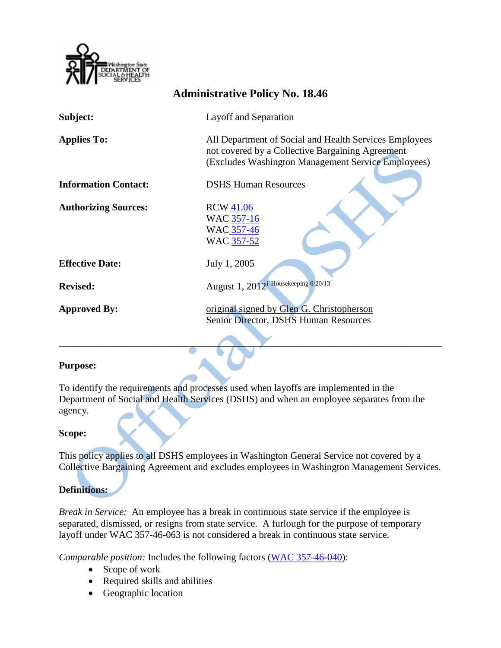

| <b>Administrative Policy No. 18.46</b> |                                                                                                                                                                  |
|----------------------------------------|------------------------------------------------------------------------------------------------------------------------------------------------------------------|
| Subject:                               | Layoff and Separation                                                                                                                                            |
| <b>Applies To:</b>                     | All Department of Social and Health Services Employees<br>not covered by a Collective Bargaining Agreement<br>(Excludes Washington Management Service Employees) |
| <b>Information Contact:</b>            | <b>DSHS Human Resources</b>                                                                                                                                      |
| <b>Authorizing Sources:</b>            | RCW 41.06<br>WAC 357-16<br>WAC 357-46<br>WAC 357-52                                                                                                              |
| <b>Effective Date:</b>                 | July 1, 2005                                                                                                                                                     |
| <b>Revised:</b>                        | August 1, 2012 <sup>i</sup> Housekeeping 6/20/13                                                                                                                 |
| <b>Approved By:</b>                    | original signed by Glen G. Christopherson<br>Senior Director, DSHS Human Resources                                                                               |

### **Purpose:**

To identify the requirements and processes used when layoffs are implemented in the Department of Social and Health Services (DSHS) and when an employee separates from the agency.

#### **Scope:**

This policy applies to all DSHS employees in Washington General Service not covered by a Collective Bargaining Agreement and excludes employees in Washington Management Services.

### **Definitions:**

*Break in Service:* An employee has a break in continuous state service if the employee is separated, dismissed, or resigns from state service. A furlough for the purpose of temporary layoff under WAC 357-46-063 is not considered a break in continuous state service.

*Comparable position:* Includes the following factors [\(WAC 357-46-040\)](http://apps.leg.wa.gov/WAC/default.aspx?cite=357-46-040):

- Scope of work
- Required skills and abilities
- Geographic location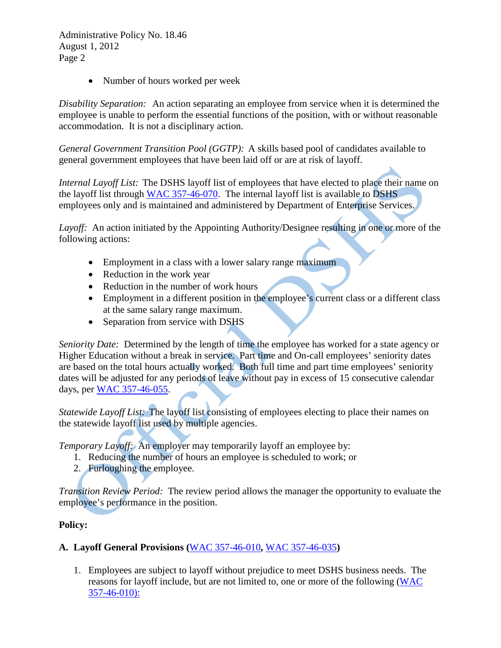• Number of hours worked per week

*Disability Separation:* An action separating an employee from service when it is determined the employee is unable to perform the essential functions of the position, with or without reasonable accommodation. It is not a disciplinary action.

*General Government Transition Pool (GGTP):* A skills based pool of candidates available to general government employees that have been laid off or are at risk of layoff.

*Internal Layoff List:* The DSHS layoff list of employees that have elected to place their name on the layoff list through [WAC 357-46-070.](http://apps.leg.wa.gov/WAC/default.aspx?cite=357-46-070) The internal layoff list is available to DSHS employees only and is maintained and administered by Department of Enterprise Services.

*Layoff:* An action initiated by the Appointing Authority/Designee resulting in one or more of the following actions:

- Employment in a class with a lower salary range maximum
- Reduction in the work year
- Reduction in the number of work hours
- Employment in a different position in the employee's current class or a different class at the same salary range maximum.
- Separation from service with DSHS

*Seniority Date:* Determined by the length of time the employee has worked for a state agency or Higher Education without a break in service. Part time and On-call employees' seniority dates are based on the total hours actually worked. Both full time and part time employees' seniority dates will be adjusted for any periods of leave without pay in excess of 15 consecutive calendar days, per [WAC 357-46-055.](http://apps.leg.wa.gov/WAC/default.aspx?cite=357-46-055)

*Statewide Layoff List:* The layoff list consisting of employees electing to place their names on the statewide layoff list used by multiple agencies.

*Temporary Layoff:* An employer may temporarily layoff an employee by:

- 1. Reducing the number of hours an employee is scheduled to work; or
- 2. Furloughing the employee.

*Transition Review Period:* The review period allows the manager the opportunity to evaluate the employee's performance in the position.

### **Policy:**

### **A. Layoff General Provisions (**[WAC 357-46-010](http://apps.leg.wa.gov/WAC/default.aspx?cite=357-46-010)**,** [WAC 357-46-035](http://apps.leg.wa.gov/WAC/default.aspx?cite=357-46-035)**)**

1. Employees are subject to layoff without prejudice to meet DSHS business needs. The reasons for layoff include, but are not limited to, one or more of the following [\(WAC](http://apps.leg.wa.gov/WAC/default.aspx?cite=357-46-010)  [357-46-010\):](http://apps.leg.wa.gov/WAC/default.aspx?cite=357-46-010)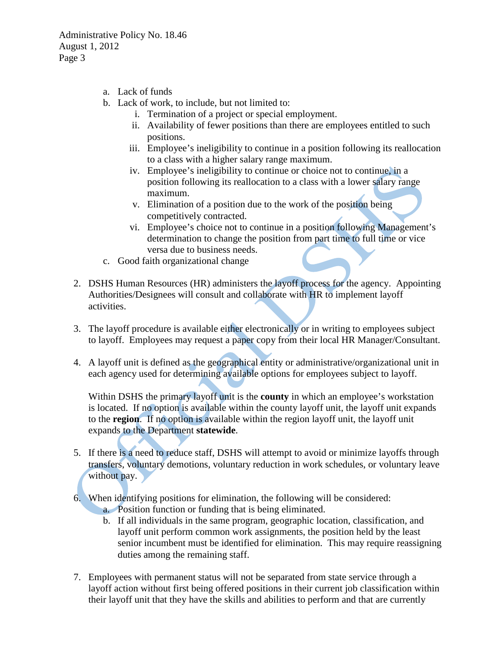- a. Lack of funds
- b. Lack of work, to include, but not limited to:
	- i. Termination of a project or special employment.
	- ii. Availability of fewer positions than there are employees entitled to such positions.
	- iii. Employee's ineligibility to continue in a position following its reallocation to a class with a higher salary range maximum.
	- iv. Employee's ineligibility to continue or choice not to continue, in a position following its reallocation to a class with a lower salary range maximum.
	- v. Elimination of a position due to the work of the position being competitively contracted.
	- vi. Employee's choice not to continue in a position following Management's determination to change the position from part time to full time or vice versa due to business needs.
- c. Good faith organizational change
- 2. DSHS Human Resources (HR) administers the layoff process for the agency. Appointing Authorities/Designees will consult and collaborate with HR to implement layoff activities.
- 3. The layoff procedure is available either electronically or in writing to employees subject to layoff. Employees may request a paper copy from their local HR Manager/Consultant.
- 4. A layoff unit is defined as the geographical entity or administrative/organizational unit in each agency used for determining available options for employees subject to layoff.

Within DSHS the primary layoff unit is the **county** in which an employee's workstation is located. If no option is available within the county layoff unit, the layoff unit expands to the **region**. If no option is available within the region layoff unit, the layoff unit expands to the Department **statewide**.

- 5. If there is a need to reduce staff, DSHS will attempt to avoid or minimize layoffs through transfers, voluntary demotions, voluntary reduction in work schedules, or voluntary leave without pay.
- 6. When identifying positions for elimination, the following will be considered:
	- a. Position function or funding that is being eliminated.
	- b. If all individuals in the same program, geographic location, classification, and layoff unit perform common work assignments, the position held by the least senior incumbent must be identified for elimination. This may require reassigning duties among the remaining staff.
- 7. Employees with permanent status will not be separated from state service through a layoff action without first being offered positions in their current job classification within their layoff unit that they have the skills and abilities to perform and that are currently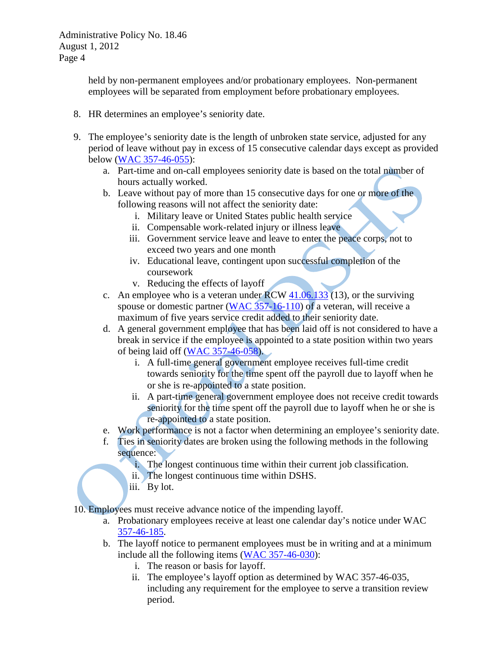held by non-permanent employees and/or probationary employees. Non-permanent employees will be separated from employment before probationary employees.

- 8. HR determines an employee's seniority date.
- 9. The employee's seniority date is the length of unbroken state service, adjusted for any period of leave without pay in excess of 15 consecutive calendar days except as provided below [\(WAC 357-46-055\)](http://apps.leg.wa.gov/WAC/default.aspx?cite=357-46-055):
	- a. Part-time and on-call employees seniority date is based on the total number of hours actually worked.
	- b. Leave without pay of more than 15 consecutive days for one or more of the following reasons will not affect the seniority date:
		- i. Military leave or United States public health service
		- ii. Compensable work-related injury or illness leave
		- iii. Government service leave and leave to enter the peace corps, not to exceed two years and one month
		- iv. Educational leave, contingent upon successful completion of the coursework
		- v. Reducing the effects of layoff
	- c. An employee who is a veteran under  $RCW$  [41.06.133](http://apps.leg.wa.gov/RCW/default.aspx?cite=41.06.133) (13), or the surviving spouse or domestic partner [\(WAC 357-16-110\)](http://apps.leg.wa.gov/WAC/default.aspx?cite=357-16-110) of a veteran, will receive a maximum of five years service credit added to their seniority date.
	- d. A general government employee that has been laid off is not considered to have a break in service if the employee is appointed to a state position within two years of being laid off [\(WAC 357-46-058\)](http://apps.leg.wa.gov/WAC/default.aspx?cite=357-46-058).
		- i. A full-time general government employee receives full-time credit towards seniority for the time spent off the payroll due to layoff when he or she is re-appointed to a state position.
		- ii. A part-time general government employee does not receive credit towards seniority for the time spent off the payroll due to layoff when he or she is re-appointed to a state position.
	- e. Work performance is not a factor when determining an employee's seniority date.
	- f. Ties in seniority dates are broken using the following methods in the following sequence:
		- i. The longest continuous time within their current job classification.
		- ii. The longest continuous time within DSHS.
		- iii. By lot.

10. Employees must receive advance notice of the impending layoff.

- a. Probationary employees receive at least one calendar day's notice under WAC [357-46-185.](http://apps.leg.wa.gov/WAC/default.aspx?cite=357-46-185)
- b. The layoff notice to permanent employees must be in writing and at a minimum include all the following items [\(WAC 357-46-030\)](http://apps.leg.wa.gov/WAC/default.aspx?cite=357-46-030):
	- i. The reason or basis for layoff.
	- ii. The employee's layoff option as determined by WAC [357-46-035,](http://apps.leg.wa.gov/WAC/default.aspx?cite=357-46-035) including any requirement for the employee to serve a transition review period.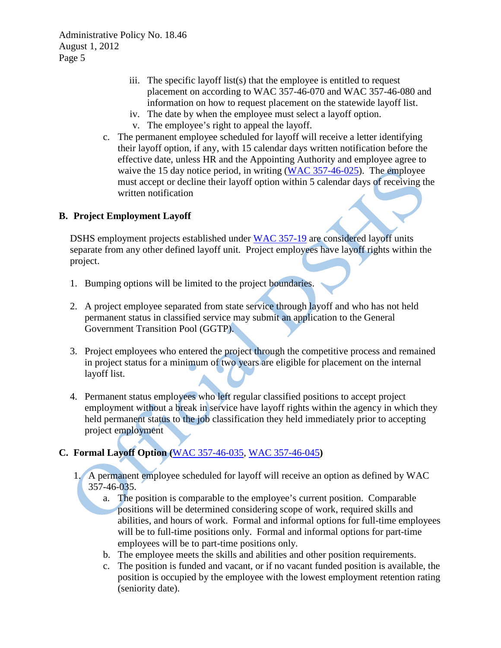- iii. The specific layoff list(s) that the employee is entitled to request placement on according to WAC [357-46-070](http://apps.leg.wa.gov/WAC/default.aspx?cite=357-46-070) and WAC [357-46-080](http://apps.leg.wa.gov/WAC/default.aspx?cite=357-46-080) and information on how to request placement on the statewide layoff list.
- iv. The date by when the employee must select a layoff option.
- v. The employee's right to appeal the layoff.
- c. The permanent employee scheduled for layoff will receive a letter identifying their layoff option, if any, with 15 calendar days written notification before the effective date, unless HR and the Appointing Authority and employee agree to waive the 15 day notice period, in writing [\(WAC 357-46-025\)](http://apps.leg.wa.gov/WAC/default.aspx?cite=357-46-025). The employee must accept or decline their layoff option within 5 calendar days of receiving the written notification

### **B. Project Employment Layoff**

DSHS employment projects established under [WAC 357-19](http://apps.leg.wa.gov/WAC/default.aspx?cite=357-19) are considered layoff units separate from any other defined layoff unit*.* Project employees have layoff rights within the project.

- 1. Bumping options will be limited to the project boundaries.
- 2. A project employee separated from state service through layoff and who has not held permanent status in classified service may submit an application to the General Government Transition Pool (GGTP).
- 3. Project employees who entered the project through the competitive process and remained in project status for a minimum of two years are eligible for placement on the internal layoff list.
- 4. Permanent status employees who left regular classified positions to accept project employment without a break in service have layoff rights within the agency in which they held permanent status to the job classification they held immediately prior to accepting project employment

## **C. Formal Layoff Option (**[WAC 357-46-035,](http://apps.leg.wa.gov/WAC/default.aspx?cite=357-46-035) [WAC 357-46-045](http://apps.leg.wa.gov/WAC/default.aspx?cite=357-46-045)**)**

- 1. A permanent employee scheduled for layoff will receive an option as defined by WAC [357-46-035.](http://apps.leg.wa.gov/WAC/default.aspx?cite=357-46-035)
	- a. The position is comparable to the employee's current position. Comparable positions will be determined considering scope of work, required skills and abilities, and hours of work. Formal and informal options for full-time employees will be to full-time positions only. Formal and informal options for part-time employees will be to part-time positions only.
	- b. The employee meets the skills and abilities and other position requirements.
	- c. The position is funded and vacant, or if no vacant funded position is available, the position is occupied by the employee with the lowest employment retention rating (seniority date).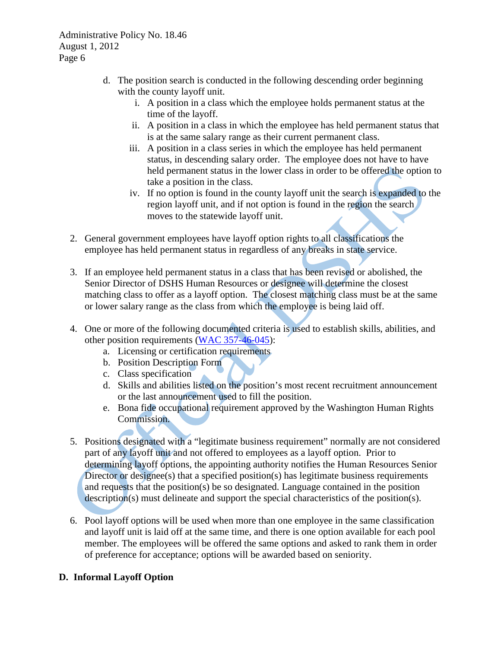- d. The position search is conducted in the following descending order beginning with the county layoff unit.
	- i. A position in a class which the employee holds permanent status at the time of the layoff.
	- ii. A position in a class in which the employee has held permanent status that is at the same salary range as their current permanent class.
	- iii. A position in a class series in which the employee has held permanent status, in descending salary order. The employee does not have to have held permanent status in the lower class in order to be offered the option to take a position in the class.
	- iv. If no option is found in the county layoff unit the search is expanded to the region layoff unit, and if not option is found in the region the search moves to the statewide layoff unit.
- 2. General government employees have layoff option rights to all classifications the employee has held permanent status in regardless of any breaks in state service.
- 3. If an employee held permanent status in a class that has been revised or abolished, the Senior Director of DSHS Human Resources or designee will determine the closest matching class to offer as a layoff option. The closest matching class must be at the same or lower salary range as the class from which the employee is being laid off.
- 4. One or more of the following documented criteria is used to establish skills, abilities, and other position requirements [\(WAC 357-46-045\)](http://apps.leg.wa.gov/WAC/default.aspx?cite=357-46-045):
	- a. Licensing or certification requirements
	- b. Position Description Form
	- c. Class specification
	- d. Skills and abilities listed on the position's most recent recruitment announcement or the last announcement used to fill the position.
	- e. Bona fide occupational requirement approved by the Washington Human Rights Commission.
- 5. Positions designated with a "legitimate business requirement" normally are not considered part of any layoff unit and not offered to employees as a layoff option.Prior to determining layoff options, the appointing authority notifies the Human Resources Senior Director or designee(s) that a specified position(s) has legitimate business requirements and requests that the position(s) be so designated. Language contained in the position description(s) must delineate and support the special characteristics of the position(s).
- 6. Pool layoff options will be used when more than one employee in the same classification and layoff unit is laid off at the same time, and there is one option available for each pool member. The employees will be offered the same options and asked to rank them in order of preference for acceptance; options will be awarded based on seniority.

## **D. Informal Layoff Option**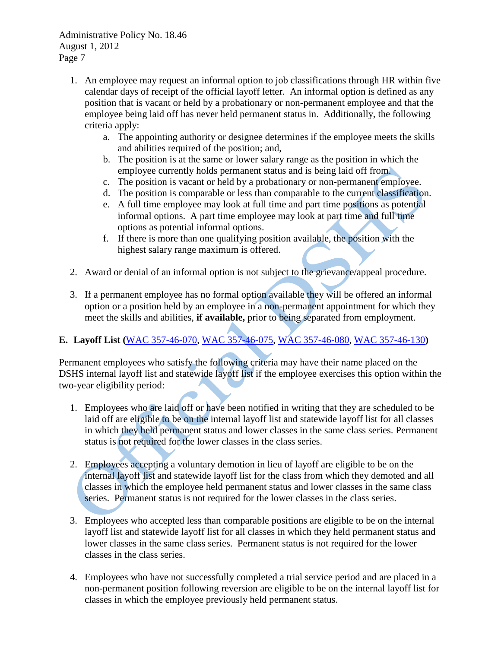- 1. An employee may request an informal option to job classifications through HR within five calendar days of receipt of the official layoff letter. An informal option is defined as any position that is vacant or held by a probationary or non-permanent employee and that the employee being laid off has never held permanent status in. Additionally, the following criteria apply:
	- a. The appointing authority or designee determines if the employee meets the skills and abilities required of the position; and,
	- b. The position is at the same or lower salary range as the position in which the employee currently holds permanent status and is being laid off from.
	- c. The position is vacant or held by a probationary or non-permanent employee.
	- d. The position is comparable or less than comparable to the current classification.
	- e. A full time employee may look at full time and part time positions as potential informal options. A part time employee may look at part time and full time options as potential informal options.
	- f. If there is more than one qualifying position available, the position with the highest salary range maximum is offered.
- 2. Award or denial of an informal option is not subject to the grievance/appeal procedure.
- 3. If a permanent employee has no formal option available they will be offered an informal option or a position held by an employee in a non-permanent appointment for which they meet the skills and abilities, **if available,** prior to being separated from employment.

# **E. Layoff List (**[WAC 357-46-070,](http://apps.leg.wa.gov/WAC/default.aspx?cite=357-46-070) [WAC 357-46-075,](http://apps.leg.wa.gov/WAC/default.aspx?cite=357-46-075) [WAC 357-46-080,](http://apps.leg.wa.gov/WAC/default.aspx?cite=357-46-080) [WAC 357-46-130](http://apps.leg.wa.gov/WAC/default.aspx?cite=357-46-130)**)**

Permanent employees who satisfy the following criteria may have their name placed on the DSHS internal layoff list and statewide layoff list if the employee exercises this option within the two-year eligibility period:

- 1. Employees who are laid off or have been notified in writing that they are scheduled to be laid off are eligible to be on the internal layoff list and statewide layoff list for all classes in which they held permanent status and lower classes in the same class series. Permanent status is not required for the lower classes in the class series.
- 2. Employees accepting a voluntary demotion in lieu of layoff are eligible to be on the internal layoff list and statewide layoff list for the class from which they demoted and all classes in which the employee held permanent status and lower classes in the same class series. Permanent status is not required for the lower classes in the class series.
- 3. Employees who accepted less than comparable positions are eligible to be on the internal layoff list and statewide layoff list for all classes in which they held permanent status and lower classes in the same class series. Permanent status is not required for the lower classes in the class series.
- 4. Employees who have not successfully completed a trial service period and are placed in a non-permanent position following reversion are eligible to be on the internal layoff list for classes in which the employee previously held permanent status.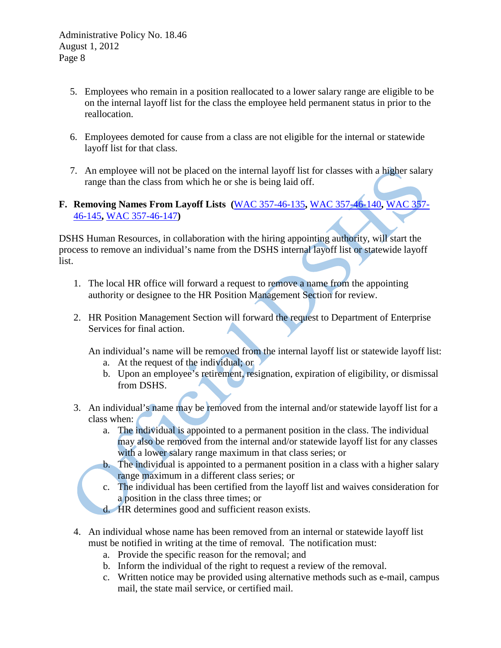- 5. Employees who remain in a position reallocated to a lower salary range are eligible to be on the internal layoff list for the class the employee held permanent status in prior to the reallocation.
- 6. Employees demoted for cause from a class are not eligible for the internal or statewide layoff list for that class.
- 7. An employee will not be placed on the internal layoff list for classes with a higher salary range than the class from which he or she is being laid off.
- **F. Removing Names From Layoff Lists (**[WAC 357-46-135](http://apps.leg.wa.gov/WAC/default.aspx?cite=357-46-135)**,** [WAC 357-46-140](http://apps.leg.wa.gov/WAC/default.aspx?cite=357-46-140)**,** [WAC 357-](http://apps.leg.wa.gov/WAC/default.aspx?cite=357-46-145) [46-145](http://apps.leg.wa.gov/WAC/default.aspx?cite=357-46-145)**,** [WAC 357-46-147](http://apps.leg.wa.gov/WAC/default.aspx?cite=357-46-147)**)**

DSHS Human Resources, in collaboration with the hiring appointing authority, will start the process to remove an individual's name from the DSHS internal layoff list or statewide layoff list.

- 1. The local HR office will forward a request to remove a name from the appointing authority or designee to the HR Position Management Section for review.
- 2. HR Position Management Section will forward the request to Department of Enterprise Services for final action.

An individual's name will be removed from the internal layoff list or statewide layoff list:

- a. At the request of the individual; or
- b. Upon an employee's retirement, resignation, expiration of eligibility, or dismissal from DSHS.
- 3. An individual's name may be removed from the internal and/or statewide layoff list for a class when:
	- a. The individual is appointed to a permanent position in the class. The individual may also be removed from the internal and/or statewide layoff list for any classes with a lower salary range maximum in that class series; or
	- b. The individual is appointed to a permanent position in a class with a higher salary range maximum in a different class series; or
	- c. The individual has been certified from the layoff list and waives consideration for a position in the class three times; or
	- d. HR determines good and sufficient reason exists.
- 4. An individual whose name has been removed from an internal or statewide layoff list must be notified in writing at the time of removal. The notification must:
	- a. Provide the specific reason for the removal; and
	- b. Inform the individual of the right to request a review of the removal.
	- c. Written notice may be provided using alternative methods such as e-mail, campus mail, the state mail service, or certified mail.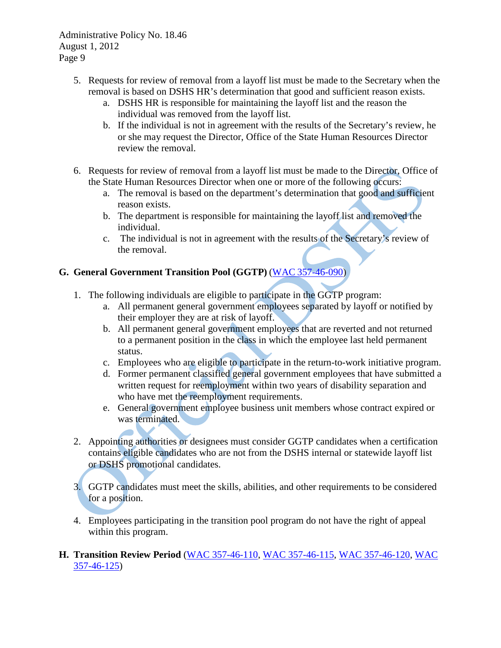- 5. Requests for review of removal from a layoff list must be made to the Secretary when the removal is based on DSHS HR's determination that good and sufficient reason exists.
	- a. DSHS HR is responsible for maintaining the layoff list and the reason the individual was removed from the layoff list.
	- b. If the individual is not in agreement with the results of the Secretary's review, he or she may request the Director, Office of the State Human Resources Director review the removal.
- 6. Requests for review of removal from a layoff list must be made to the Director, Office of the State Human Resources Director when one or more of the following occurs:
	- a. The removal is based on the department's determination that good and sufficient reason exists.
	- b. The department is responsible for maintaining the layoff list and removed the individual.
	- c. The individual is not in agreement with the results of the Secretary's review of the removal.

## **G. General Government Transition Pool (GGTP)** (WAC [357-46-090\)](http://apps.leg.wa.gov/WAC/default.aspx?cite=357-46-090)

- 1. The following individuals are eligible to participate in the GGTP program:
	- a. All permanent general government employees separated by layoff or notified by their employer they are at risk of layoff.
	- b. All permanent general government employees that are reverted and not returned to a permanent position in the class in which the employee last held permanent status.
	- c. Employees who are eligible to participate in the return-to-work initiative program.
	- d. Former permanent classified general government employees that have submitted a written request for reemployment within two years of disability separation and who have met the reemployment requirements.
	- e. General government employee business unit members whose contract expired or was terminated.
- 2. Appointing authorities or designees must consider GGTP candidates when a certification contains eligible candidates who are not from the DSHS internal or statewide layoff list or DSHS promotional candidates.
- 3. GGTP candidates must meet the skills, abilities, and other requirements to be considered for a position.
- 4. Employees participating in the transition pool program do not have the right of appeal within this program.

### **H. Transition Review Period** [\(WAC 357-46-110,](http://apps.leg.wa.gov/WAC/default.aspx?cite=357-46-110) [WAC 357-46-115,](http://apps.leg.wa.gov/WAC/default.aspx?cite=357-46-115) [WAC 357-46-120,](http://apps.leg.wa.gov/WAC/default.aspx?cite=357-46-120) [WAC](http://apps.leg.wa.gov/WAC/default.aspx?cite=357-46-125)  [357-46-125\)](http://apps.leg.wa.gov/WAC/default.aspx?cite=357-46-125)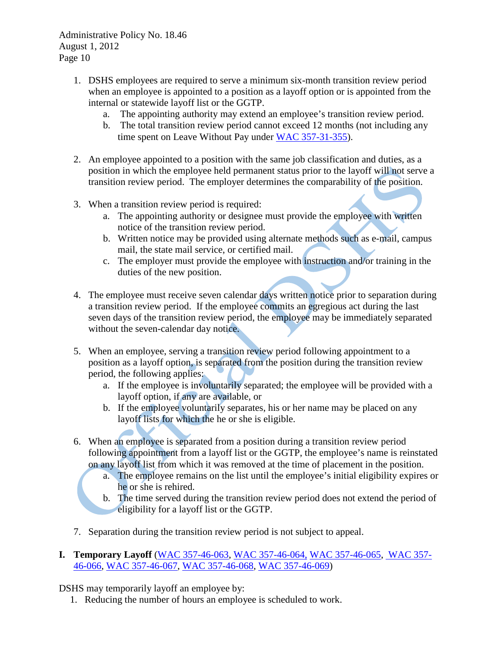- 1. DSHS employees are required to serve a minimum six-month transition review period when an employee is appointed to a position as a layoff option or is appointed from the internal or statewide layoff list or the GGTP.
	- a. The appointing authority may extend an employee's transition review period.
	- b. The total transition review period cannot exceed 12 months (not including any time spent on Leave Without Pay under [WAC 357-31-355\)](http://apps.leg.wa.gov/WAC/default.aspx?cite=357-31-355).
- 2. An employee appointed to a position with the same job classification and duties, as a position in which the employee held permanent status prior to the layoff will not serve a transition review period. The employer determines the comparability of the position.
- 3. When a transition review period is required:
	- a. The appointing authority or designee must provide the employee with written notice of the transition review period.
	- b. Written notice may be provided using alternate methods such as e-mail, campus mail, the state mail service, or certified mail.
	- c. The employer must provide the employee with instruction and/or training in the duties of the new position.
- 4. The employee must receive seven calendar days written notice prior to separation during a transition review period. If the employee commits an egregious act during the last seven days of the transition review period, the employee may be immediately separated without the seven-calendar day notice.
- 5. When an employee, serving a transition review period following appointment to a position as a layoff option, is separated from the position during the transition review period, the following applies:
	- a. If the employee is involuntarily separated; the employee will be provided with a layoff option, if any are available, or
	- b. If the employee voluntarily separates, his or her name may be placed on any layoff lists for which the he or she is eligible.
- 6. When an employee is separated from a position during a transition review period following appointment from a layoff list or the GGTP, the employee's name is reinstated on any layoff list from which it was removed at the time of placement in the position.
	- a. The employee remains on the list until the employee's initial eligibility expires or he or she is rehired.
	- b. The time served during the transition review period does not extend the period of eligibility for a layoff list or the GGTP.
- 7. Separation during the transition review period is not subject to appeal.
- **I. Temporary Layoff** [\(WAC 357-46-063,](http://apps.leg.wa.gov/WAC/default.aspx?cite=357-46-063) [WAC 357-46-064,](http://apps.leg.wa.gov/WAC/default.aspx?cite=357-46-064) [WAC 357-46-065,](http://apps.leg.wa.gov/WAC/default.aspx?cite=357-46-065) [WAC 357-](http://apps.leg.wa.gov/WAC/default.aspx?cite=357-46-066) [46-066,](http://apps.leg.wa.gov/WAC/default.aspx?cite=357-46-066) [WAC 357-46-067,](http://apps.leg.wa.gov/WAC/default.aspx?cite=357-46-067) [WAC 357-46-068,](http://apps.leg.wa.gov/WAC/default.aspx?cite=357-46-068) [WAC 357-46-069\)](http://apps.leg.wa.gov/WAC/default.aspx?cite=357-46-069)

DSHS may temporarily layoff an employee by:

1. Reducing the number of hours an employee is scheduled to work.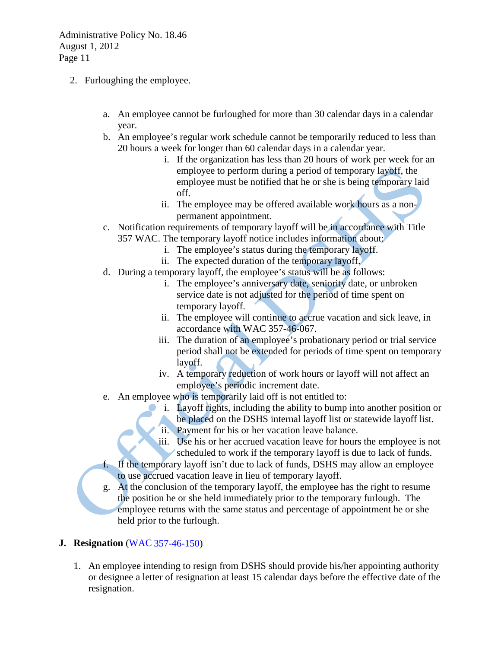- 2. Furloughing the employee.
	- a. An employee cannot be furloughed for more than 30 calendar days in a calendar year.
	- b. An employee's regular work schedule cannot be temporarily reduced to less than 20 hours a week for longer than 60 calendar days in a calendar year.
		- i. If the organization has less than 20 hours of work per week for an employee to perform during a period of temporary layoff, the employee must be notified that he or she is being temporary laid off.
		- ii. The employee may be offered available work hours as a nonpermanent appointment.
	- c. Notification requirements of temporary layoff will be in accordance with Title 357 WAC. The temporary layoff notice includes information about:
		- i. The employee's status during the temporary layoff.
		- ii. The expected duration of the temporary layoff.
	- d. During a temporary layoff, the employee's status will be as follows:
		- i. The employee's anniversary date, seniority date, or unbroken service date is not adjusted for the period of time spent on temporary layoff.
		- ii. The employee will continue to accrue vacation and sick leave, in accordance with WAC 357-46-067.
		- iii. The duration of an employee's probationary period or trial service period shall not be extended for periods of time spent on temporary layoff.
		- iv. A temporary reduction of work hours or layoff will not affect an employee's periodic increment date.
	- e. An employee who is temporarily laid off is not entitled to:
		- i. Layoff rights, including the ability to bump into another position or be placed on the DSHS internal layoff list or statewide layoff list. ii. Payment for his or her vacation leave balance.
		- iii. Use his or her accrued vacation leave for hours the employee is not scheduled to work if the temporary layoff is due to lack of funds.
	- f. If the temporary layoff isn't due to lack of funds, DSHS may allow an employee to use accrued vacation leave in lieu of temporary layoff.
	- g. At the conclusion of the temporary layoff, the employee has the right to resume the position he or she held immediately prior to the temporary furlough. The employee returns with the same status and percentage of appointment he or she held prior to the furlough.

## **J. Resignation** (WAC [357-46-150\)](http://apps.leg.wa.gov/WAC/default.aspx?cite=357-46-150)

1. An employee intending to resign from DSHS should provide his/her appointing authority or designee a letter of resignation at least 15 calendar days before the effective date of the resignation.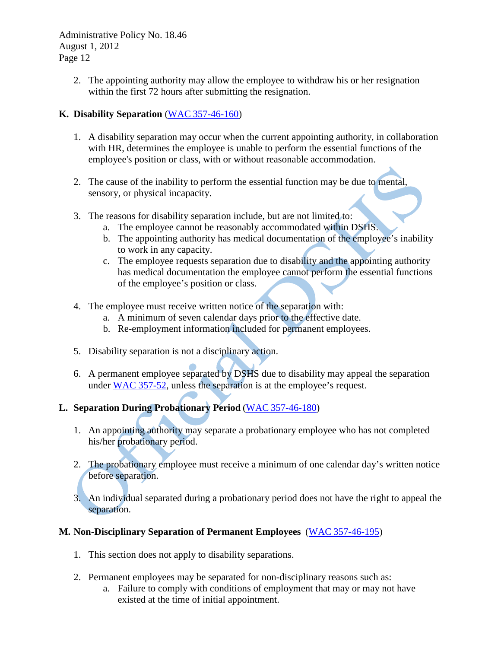> 2. The appointing authority may allow the employee to withdraw his or her resignation within the first 72 hours after submitting the resignation.

### **K. Disability Separation** (WAC [357-46-160\)](http://apps.leg.wa.gov/WAC/default.aspx?cite=357-46-160)

- 1. A disability separation may occur when the current appointing authority, in collaboration with HR, determines the employee is unable to perform the essential functions of the employee's position or class, with or without reasonable accommodation.
- 2. The cause of the inability to perform the essential function may be due to mental, sensory, or physical incapacity.
- 3. The reasons for disability separation include, but are not limited to:
	- a. The employee cannot be reasonably accommodated within DSHS.
	- b. The appointing authority has medical documentation of the employee's inability to work in any capacity.
	- c. The employee requests separation due to disability and the appointing authority has medical documentation the employee cannot perform the essential functions of the employee's position or class.
- 4. The employee must receive written notice of the separation with:
	- a. A minimum of seven calendar days prior to the effective date.
	- b. Re-employment information included for permanent employees.
- 5. Disability separation is not a disciplinary action.
- 6. A permanent employee separated by DSHS due to disability may appeal the separation under [WAC 357-52,](http://apps.leg.wa.gov/WAC/default.aspx?cite=357-52) unless the separation is at the employee's request.

## **L. Separation During Probationary Period** (WAC [357-46-180\)](http://apps.leg.wa.gov/WAC/default.aspx?cite=357-46-180)

- 1. An appointing authority may separate a probationary employee who has not completed his/her probationary period.
- 2. The probationary employee must receive a minimum of one calendar day's written notice before separation.

3. An individual separated during a probationary period does not have the right to appeal the separation.

## **M. Non-Disciplinary Separation of Permanent Employees** (WAC [357-46-195\)](http://apps.leg.wa.gov/WAC/default.aspx?cite=357-46-195)

- 1. This section does not apply to disability separations.
- 2. Permanent employees may be separated for non-disciplinary reasons such as:
	- a. Failure to comply with conditions of employment that may or may not have existed at the time of initial appointment.